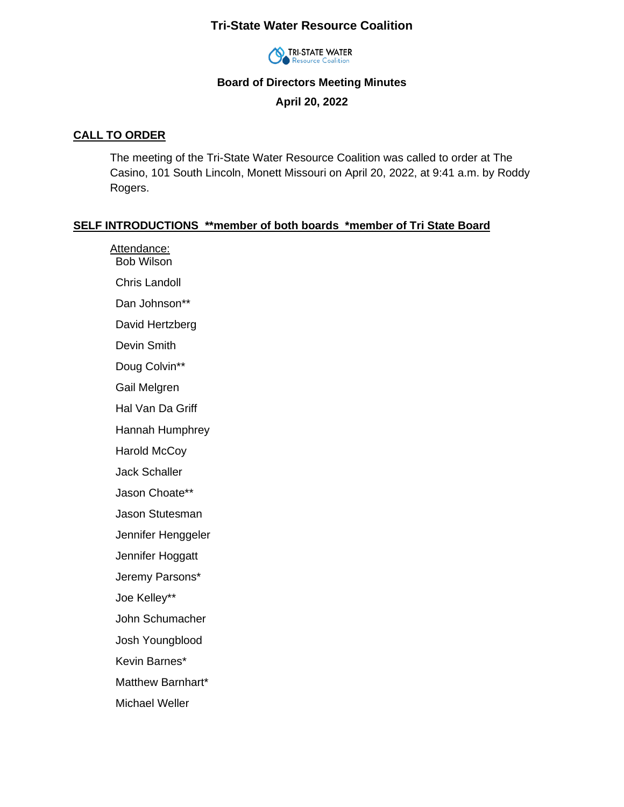# **Tri-State Water Resource Coalition**



### **Board of Directors Meeting Minutes**

**April 20, 2022**

#### **CALL TO ORDER**

The meeting of the Tri-State Water Resource Coalition was called to order at The Casino, 101 South Lincoln, Monett Missouri on April 20, 2022, at 9:41 a.m. by Roddy Rogers.

### **SELF INTRODUCTIONS \*\*member of both boards \*member of Tri State Board**

Attendance: Bob Wilson Chris Landoll Dan Johnson\*\* David Hertzberg Devin Smith Doug Colvin\*\* Gail Melgren Hal Van Da Griff Hannah Humphrey Harold McCoy Jack Schaller Jason Choate\*\* Jason Stutesman Jennifer Henggeler Jennifer Hoggatt Jeremy Parsons\* Joe Kelley\*\* John Schumacher Josh Youngblood Kevin Barnes\* Matthew Barnhart\* Michael Weller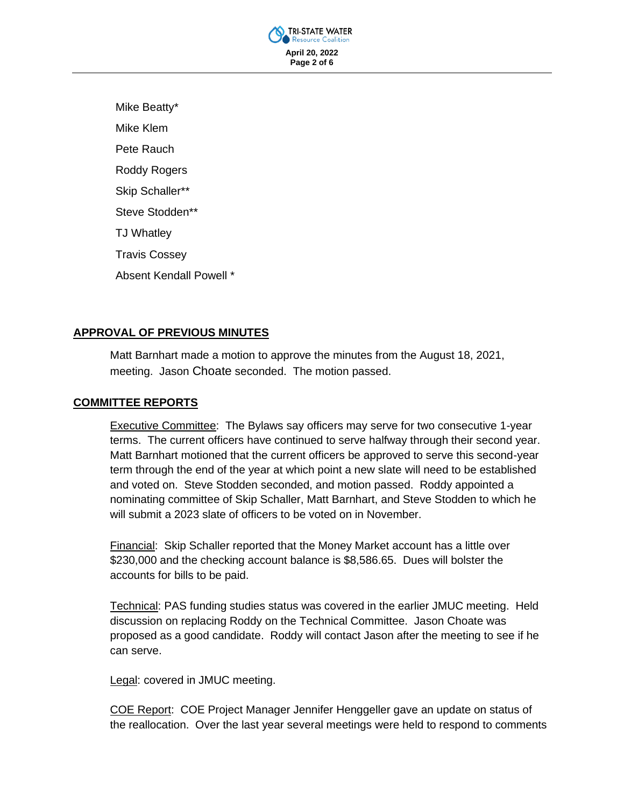

Mike Beatty\* Mike Klem Pete Rauch Roddy Rogers Skip Schaller\*\* Steve Stodden\*\* TJ Whatley Travis Cossey Absent Kendall Powell \*

## **APPROVAL OF PREVIOUS MINUTES**

Matt Barnhart made a motion to approve the minutes from the August 18, 2021, meeting. Jason Choate seconded. The motion passed.

## **COMMITTEE REPORTS**

Executive Committee: The Bylaws say officers may serve for two consecutive 1-year terms. The current officers have continued to serve halfway through their second year. Matt Barnhart motioned that the current officers be approved to serve this second-year term through the end of the year at which point a new slate will need to be established and voted on. Steve Stodden seconded, and motion passed. Roddy appointed a nominating committee of Skip Schaller, Matt Barnhart, and Steve Stodden to which he will submit a 2023 slate of officers to be voted on in November.

Financial: Skip Schaller reported that the Money Market account has a little over \$230,000 and the checking account balance is \$8,586.65. Dues will bolster the accounts for bills to be paid.

Technical: PAS funding studies status was covered in the earlier JMUC meeting. Held discussion on replacing Roddy on the Technical Committee. Jason Choate was proposed as a good candidate. Roddy will contact Jason after the meeting to see if he can serve.

Legal: covered in JMUC meeting.

COE Report: COE Project Manager Jennifer Henggeller gave an update on status of the reallocation. Over the last year several meetings were held to respond to comments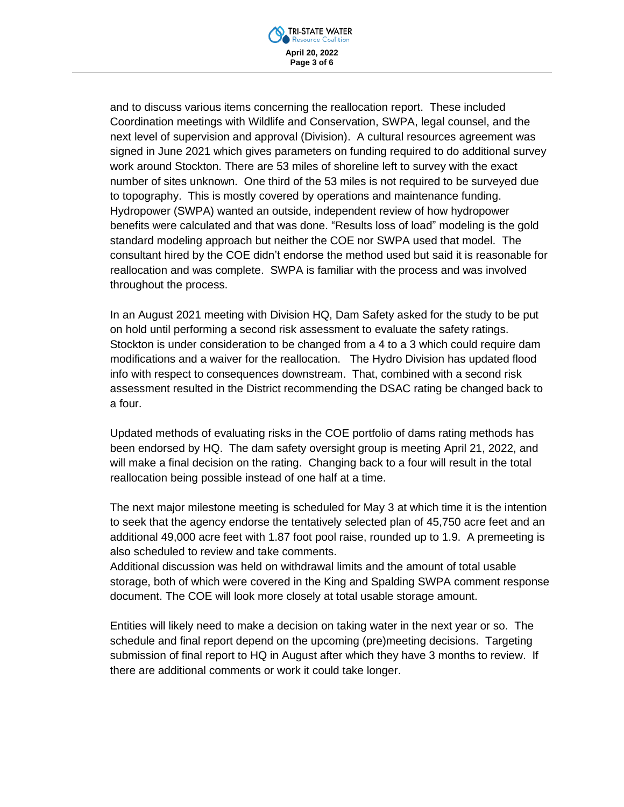

and to discuss various items concerning the reallocation report. These included Coordination meetings with Wildlife and Conservation, SWPA, legal counsel, and the next level of supervision and approval (Division). A cultural resources agreement was signed in June 2021 which gives parameters on funding required to do additional survey work around Stockton. There are 53 miles of shoreline left to survey with the exact number of sites unknown. One third of the 53 miles is not required to be surveyed due to topography. This is mostly covered by operations and maintenance funding. Hydropower (SWPA) wanted an outside, independent review of how hydropower benefits were calculated and that was done. "Results loss of load" modeling is the gold standard modeling approach but neither the COE nor SWPA used that model. The consultant hired by the COE didn't endorse the method used but said it is reasonable for reallocation and was complete. SWPA is familiar with the process and was involved throughout the process.

In an August 2021 meeting with Division HQ, Dam Safety asked for the study to be put on hold until performing a second risk assessment to evaluate the safety ratings. Stockton is under consideration to be changed from a 4 to a 3 which could require dam modifications and a waiver for the reallocation. The Hydro Division has updated flood info with respect to consequences downstream. That, combined with a second risk assessment resulted in the District recommending the DSAC rating be changed back to a four.

Updated methods of evaluating risks in the COE portfolio of dams rating methods has been endorsed by HQ. The dam safety oversight group is meeting April 21, 2022, and will make a final decision on the rating. Changing back to a four will result in the total reallocation being possible instead of one half at a time.

The next major milestone meeting is scheduled for May 3 at which time it is the intention to seek that the agency endorse the tentatively selected plan of 45,750 acre feet and an additional 49,000 acre feet with 1.87 foot pool raise, rounded up to 1.9. A premeeting is also scheduled to review and take comments.

Additional discussion was held on withdrawal limits and the amount of total usable storage, both of which were covered in the King and Spalding SWPA comment response document. The COE will look more closely at total usable storage amount.

Entities will likely need to make a decision on taking water in the next year or so. The schedule and final report depend on the upcoming (pre)meeting decisions. Targeting submission of final report to HQ in August after which they have 3 months to review. If there are additional comments or work it could take longer.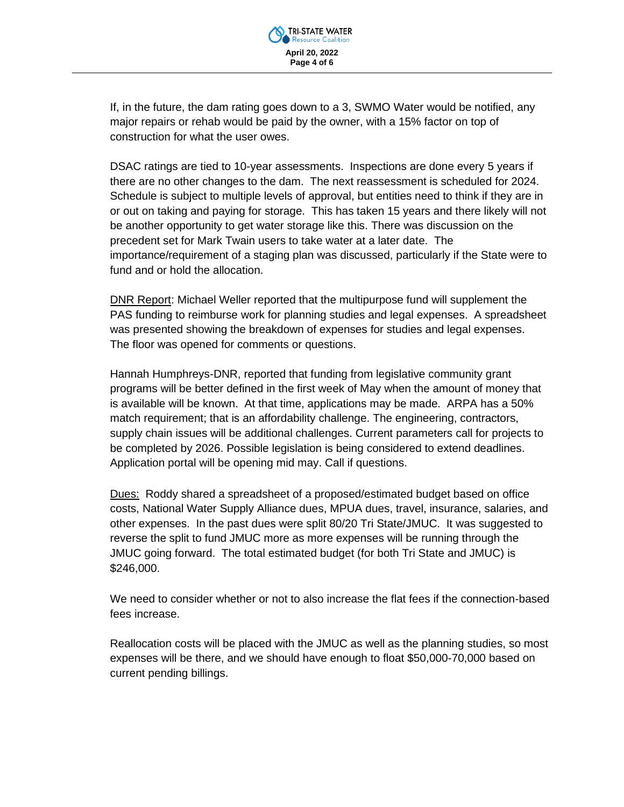

If, in the future, the dam rating goes down to a 3, SWMO Water would be notified, any major repairs or rehab would be paid by the owner, with a 15% factor on top of construction for what the user owes.

DSAC ratings are tied to 10-year assessments. Inspections are done every 5 years if there are no other changes to the dam. The next reassessment is scheduled for 2024. Schedule is subject to multiple levels of approval, but entities need to think if they are in or out on taking and paying for storage. This has taken 15 years and there likely will not be another opportunity to get water storage like this. There was discussion on the precedent set for Mark Twain users to take water at a later date. The importance/requirement of a staging plan was discussed, particularly if the State were to fund and or hold the allocation.

DNR Report: Michael Weller reported that the multipurpose fund will supplement the PAS funding to reimburse work for planning studies and legal expenses. A spreadsheet was presented showing the breakdown of expenses for studies and legal expenses. The floor was opened for comments or questions.

Hannah Humphreys-DNR, reported that funding from legislative community grant programs will be better defined in the first week of May when the amount of money that is available will be known. At that time, applications may be made. ARPA has a 50% match requirement; that is an affordability challenge. The engineering, contractors, supply chain issues will be additional challenges. Current parameters call for projects to be completed by 2026. Possible legislation is being considered to extend deadlines. Application portal will be opening mid may. Call if questions.

Dues: Roddy shared a spreadsheet of a proposed/estimated budget based on office costs, National Water Supply Alliance dues, MPUA dues, travel, insurance, salaries, and other expenses. In the past dues were split 80/20 Tri State/JMUC. It was suggested to reverse the split to fund JMUC more as more expenses will be running through the JMUC going forward. The total estimated budget (for both Tri State and JMUC) is \$246,000.

We need to consider whether or not to also increase the flat fees if the connection-based fees increase.

Reallocation costs will be placed with the JMUC as well as the planning studies, so most expenses will be there, and we should have enough to float \$50,000-70,000 based on current pending billings.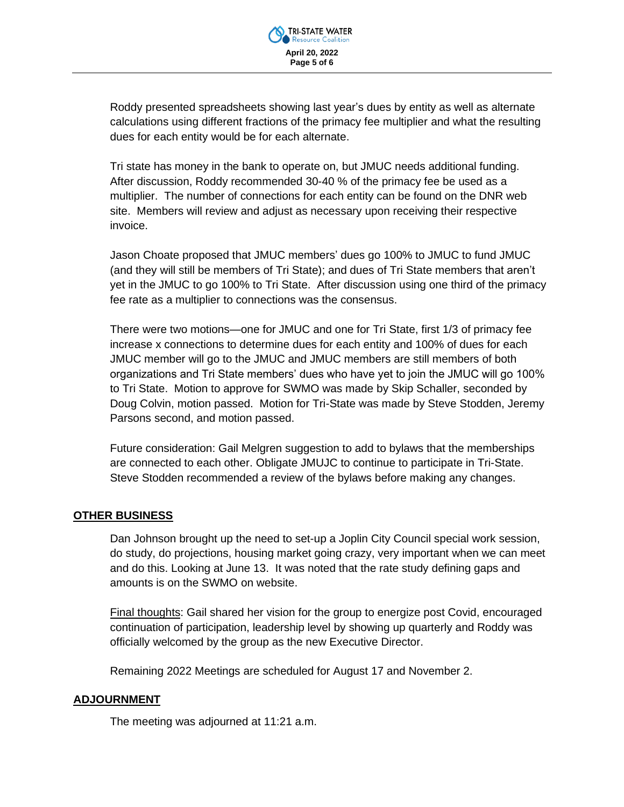

Roddy presented spreadsheets showing last year's dues by entity as well as alternate calculations using different fractions of the primacy fee multiplier and what the resulting dues for each entity would be for each alternate.

Tri state has money in the bank to operate on, but JMUC needs additional funding. After discussion, Roddy recommended 30-40 % of the primacy fee be used as a multiplier. The number of connections for each entity can be found on the DNR web site. Members will review and adjust as necessary upon receiving their respective invoice.

Jason Choate proposed that JMUC members' dues go 100% to JMUC to fund JMUC (and they will still be members of Tri State); and dues of Tri State members that aren't yet in the JMUC to go 100% to Tri State. After discussion using one third of the primacy fee rate as a multiplier to connections was the consensus.

There were two motions—one for JMUC and one for Tri State, first 1/3 of primacy fee increase x connections to determine dues for each entity and 100% of dues for each JMUC member will go to the JMUC and JMUC members are still members of both organizations and Tri State members' dues who have yet to join the JMUC will go 100% to Tri State. Motion to approve for SWMO was made by Skip Schaller, seconded by Doug Colvin, motion passed. Motion for Tri-State was made by Steve Stodden, Jeremy Parsons second, and motion passed.

Future consideration: Gail Melgren suggestion to add to bylaws that the memberships are connected to each other. Obligate JMUJC to continue to participate in Tri-State. Steve Stodden recommended a review of the bylaws before making any changes.

### **OTHER BUSINESS**

Dan Johnson brought up the need to set-up a Joplin City Council special work session, do study, do projections, housing market going crazy, very important when we can meet and do this. Looking at June 13. It was noted that the rate study defining gaps and amounts is on the SWMO on website.

Final thoughts: Gail shared her vision for the group to energize post Covid, encouraged continuation of participation, leadership level by showing up quarterly and Roddy was officially welcomed by the group as the new Executive Director.

Remaining 2022 Meetings are scheduled for August 17 and November 2.

### **ADJOURNMENT**

The meeting was adjourned at 11:21 a.m.